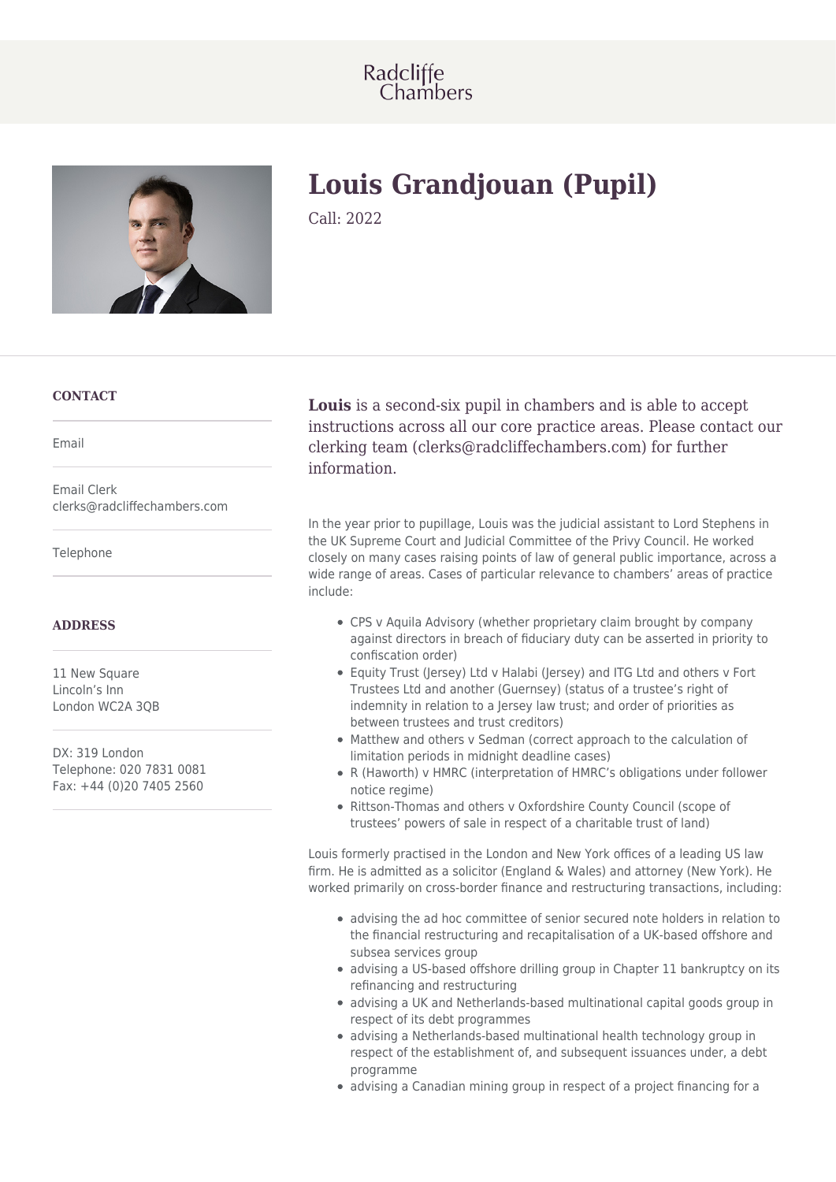



# **Louis Grandjouan (Pupil)**

Call: 2022

## **CONTACT**

Email

Email Clerk clerks@radcliffechambers.com

Telephone

### **ADDRESS**

11 New Square Lincoln's Inn London WC2A 3QB

DX: 319 London Telephone: 020 7831 0081 Fax: +44 (0)20 7405 2560

**Louis** is a second-six pupil in chambers and is able to accept instructions across all our core practice areas. Please contact our clerking team (clerks@radcliffechambers.com) for further information.

In the year prior to pupillage, Louis was the judicial assistant to Lord Stephens in the UK Supreme Court and Judicial Committee of the Privy Council. He worked closely on many cases raising points of law of general public importance, across a wide range of areas. Cases of particular relevance to chambers' areas of practice include:

- CPS v Aquila Advisory (whether proprietary claim brought by company against directors in breach of fiduciary duty can be asserted in priority to confiscation order)
- Equity Trust (Jersey) Ltd v Halabi (Jersey) and ITG Ltd and others v Fort Trustees Ltd and another (Guernsey) (status of a trustee's right of indemnity in relation to a Jersey law trust; and order of priorities as between trustees and trust creditors)
- Matthew and others v Sedman (correct approach to the calculation of limitation periods in midnight deadline cases)
- R (Haworth) v HMRC (interpretation of HMRC's obligations under follower notice regime)
- Rittson-Thomas and others v Oxfordshire County Council (scope of trustees' powers of sale in respect of a charitable trust of land)

Louis formerly practised in the London and New York offices of a leading US law firm. He is admitted as a solicitor (England & Wales) and attorney (New York). He worked primarily on cross-border finance and restructuring transactions, including:

- advising the ad hoc committee of senior secured note holders in relation to the financial restructuring and recapitalisation of a UK-based offshore and subsea services group
- advising a US-based offshore drilling group in Chapter 11 bankruptcy on its refinancing and restructuring
- advising a UK and Netherlands-based multinational capital goods group in respect of its debt programmes
- advising a Netherlands-based multinational health technology group in respect of the establishment of, and subsequent issuances under, a debt programme
- advising a Canadian mining group in respect of a project financing for a